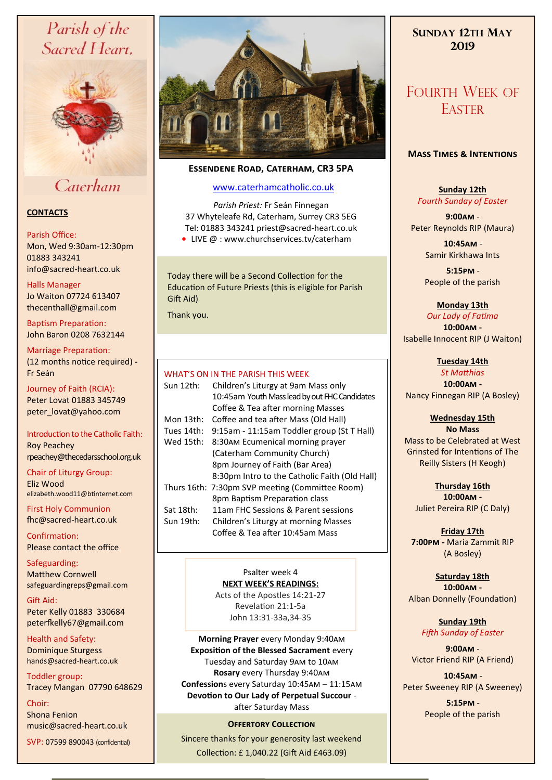# Parish of the Sacred Heart,



# Caterham

## **CONTACTS**

## Parish Office:

Mon, Wed 9:30am-12:30pm 01883 343241 info@sacred-heart.co.uk .

## Halls Manager

Jo Waiton 07724 613407 thecenthall@gmail.com

Baptism Preparation: John Baron 0208 7632144

Marriage Preparation: (12 months notice required) **-** Fr Seán

Journey of Faith (RCIA): Peter Lovat 01883 345749 peter\_lovat@yahoo.com

Introduction to the Catholic Faith: Roy Peachey rpeachey@thecedarsschool.org.uk

Chair of Liturgy Group: Eliz Wood elizabeth.wood11@btinternet.com

First Holy Communion fhc@sacred-heart.co.uk

Confirmation: Please contact the office

Safeguarding: Matthew Cornwell safeguardingreps@gmail.com

Gift Aid: Peter Kelly 01883 330684 peterfkelly67@gmail.com

Health and Safety: Dominique Sturgess hands@sacred-heart.co.uk

Toddler group: Tracey Mangan 07790 648629

Choir: Shona Fenion music@sacred-heart.co.uk

SVP: 07599 890043 (confidential)



# **Essendene Road, Caterham, CR3 5PA**

# [www.caterhamcatholic.co.uk](http://Www.caterhamcatholic.co.uk)

*Parish Priest:* Fr Seán Finnegan 37 Whyteleafe Rd, Caterham, Surrey CR3 5EG Tel: 01883 343241 priest@sacred-heart.co.uk

● LIVE @ : www.churchservices.tv/caterham

Today there will be a Second Collection for the Education of Future Priests (this is eligible for Parish Gift Aid)

Thank you.

# WHAT'S ON IN THE PARISH THIS WEEK

| VV TAL 3 VIN IN ITE PARIST ITIS WEEN |                                                 |
|--------------------------------------|-------------------------------------------------|
| Sun 12th:                            | Children's Liturgy at 9am Mass only             |
|                                      | 10:45am Youth Mass lead by out FHC Candidates   |
|                                      | Coffee & Tea after morning Masses               |
| Mon 13th:                            | Coffee and tea after Mass (Old Hall)            |
| Tues 14th:                           | 9:15am - 11:15am Toddler group (St T Hall)      |
| Wed 15th:                            | 8:30AM Ecumenical morning prayer                |
|                                      | (Caterham Community Church)                     |
|                                      | 8pm Journey of Faith (Bar Area)                 |
|                                      | 8:30pm Intro to the Catholic Faith (Old Hall)   |
|                                      | Thurs 16th: 7:30pm SVP meeting (Committee Room) |
|                                      | 8pm Baptism Preparation class                   |
| Sat 18th:                            | 11am FHC Sessions & Parent sessions             |
| Sun 19th:                            | Children's Liturgy at morning Masses            |
|                                      | Coffee & Tea after 10:45am Mass                 |
|                                      |                                                 |

Psalter week 4 **NEXT WEEK'S READINGS:**  Acts of the Apostles 14:21-27 Revelation 21:1-5a

John 13:31-33a,34-35

**Morning Prayer** every Monday 9:40am **Exposition of the Blessed Sacrament** every Tuesday and Saturday 9am to 10am **Rosary** every Thursday 9:40am **Confession**s every Saturday 10:45am – 11:15am **Devotion to Our Lady of Perpetual Succour**  after Saturday Mass

# **OFFERTORY COLLECTION**

Sincere thanks for your generosity last weekend Collection: £ 1,040.22 (Gift Aid £463.09)

# **SUNDAY 12TH MAY 2019**

# FOURTH WEEK OF **EASTER**

## **Mass Times & Intentions**

# **Sunday 12th** *Fourth Sunday of Easter*

**9:00am** - Peter Reynolds RIP (Maura)

> .**10:45am** - Samir Kirkhawa Ints

> .**5:15pm** - People of the parish

# **Monday 13th**

*Our Lady of Fatima* **10:00am -**  Isabelle Innocent RIP (J Waiton)

> **Tuesday 14th** *St Matthias*

**10:00am -**

Nancy Finnegan RIP (A Bosley)

#### **Wednesday 15th No Mass**

Mass to be Celebrated at West Grinsted for Intentions of The Reilly Sisters (H Keogh)

**Thursday 16th 10:00am -** Juliet Pereira RIP (C Daly)

**Friday 17th 7:00pm -** Maria Zammit RIP (A Bosley)

# **Saturday 18th**

**10:00am -**  Alban Donnelly (Foundation)

> **Sunday 19th** *Fifth Sunday of Easter*

**9:00am** - Victor Friend RIP (A Friend)

.**10:45am** - Peter Sweeney RIP (A Sweeney)

> .**5:15pm** - People of the parish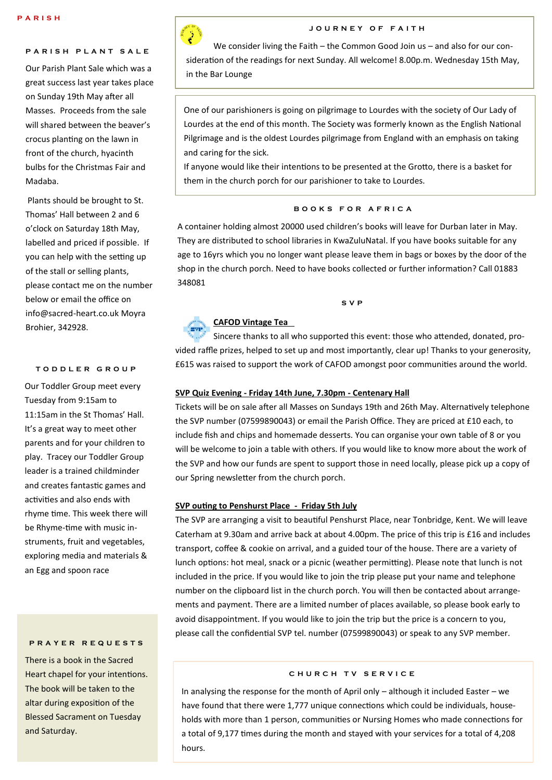## **PARISH PLANT SALE**

Our Parish Plant Sale which was a great success last year takes place on Sunday 19th May after all Masses. Proceeds from the sale will shared between the beaver's crocus planting on the lawn in front of the church, hyacinth bulbs for the Christmas Fair and Madaba.

Plants should be brought to St. Thomas' Hall between 2 and 6 o'clock on Saturday 18th May, labelled and priced if possible. If you can help with the setting up of the stall or selling plants, please contact me on the number below or email the office on info@sacred-heart.co.uk Moyra Brohier, 342928.

#### **T O D D L E R G R O U P**

Our Toddler Group meet every Tuesday from 9:15am to 11:15am in the St Thomas' Hall. It's a great way to meet other parents and for your children to play. Tracey our Toddler Group leader is a trained childminder and creates fantastic games and activities and also ends with rhyme time. This week there will be Rhyme-time with music instruments, fruit and vegetables, exploring media and materials & an Egg and spoon race

#### **P R A Y E R R E Q U E S T S**

There is a book in the Sacred Heart chapel for your intentions. The book will be taken to the altar during exposition of the Blessed Sacrament on Tuesday and Saturday.



## **J O U R N E Y O F F A I T H**

We consider living the Faith – the Common Good Join us – and also for our consideration of the readings for next Sunday. All welcome! 8.00p.m. Wednesday 15th May, in the Bar Lounge

One of our parishioners is going on pilgrimage to Lourdes with the society of Our Lady of Lourdes at the end of this month. The Society was formerly known as the English National Pilgrimage and is the oldest Lourdes pilgrimage from England with an emphasis on taking and caring for the sick.

If anyone would like their intentions to be presented at the Grotto, there is a basket for them in the church porch for our parishioner to take to Lourdes.

## **B O O K S F O R A F R I C A**

A container holding almost 20000 used children's books will leave for Durban later in May. They are distributed to school libraries in KwaZuluNatal. If you have books suitable for any age to 16yrs which you no longer want please leave them in bags or boxes by the door of the shop in the church porch. Need to have books collected or further information? Call 01883 348081

#### **S V P**



# **CAFOD Vintage Tea**

Sincere thanks to all who supported this event: those who attended, donated, provided raffle prizes, helped to set up and most importantly, clear up! Thanks to your generosity, £615 was raised to support the work of CAFOD amongst poor communities around the world.

## **SVP Quiz Evening - Friday 14th June, 7.30pm - Centenary Hall**

Tickets will be on sale after all Masses on Sundays 19th and 26th May. Alternatively telephone the SVP number (07599890043) or email the Parish Office. They are priced at £10 each, to include fish and chips and homemade desserts. You can organise your own table of 8 or you will be welcome to join a table with others. If you would like to know more about the work of the SVP and how our funds are spent to support those in need locally, please pick up a copy of our Spring newsletter from the church porch.

### **SVP outing to Penshurst Place - Friday 5th July**

The SVP are arranging a visit to beautiful Penshurst Place, near Tonbridge, Kent. We will leave Caterham at 9.30am and arrive back at about 4.00pm. The price of this trip is £16 and includes transport, coffee & cookie on arrival, and a guided tour of the house. There are a variety of lunch options: hot meal, snack or a picnic (weather permitting). Please note that lunch is not included in the price. If you would like to join the trip please put your name and telephone number on the clipboard list in the church porch. You will then be contacted about arrangements and payment. There are a limited number of places available, so please book early to avoid disappointment. If you would like to join the trip but the price is a concern to you, please call the confidential SVP tel. number (07599890043) or speak to any SVP member.

#### C H U R C H T V S E R V I C E

In analysing the response for the month of April only – although it included Easter – we have found that there were 1,777 unique connections which could be individuals, households with more than 1 person, communities or Nursing Homes who made connections for a total of 9,177 times during the month and stayed with your services for a total of 4,208 hours.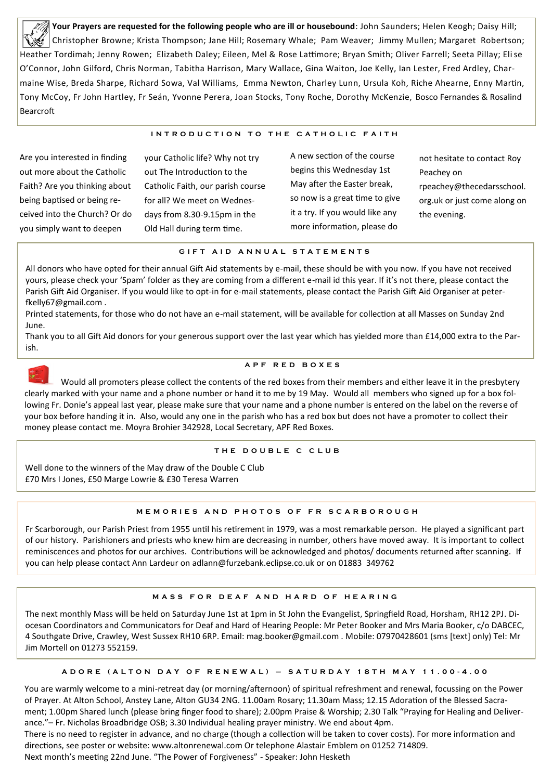**Your Prayers are requested for the following people who are ill or housebound**: John Saunders; Helen Keogh; Daisy Hill; Christopher Browne; Krista Thompson; Jane Hill; Rosemary Whale; Pam Weaver; Jimmy Mullen; Margaret Robertson; Heather Tordimah; Jenny Rowen; Elizabeth Daley; Eileen, Mel & Rose Lattimore; Bryan Smith; Oliver Farrell; Seeta Pillay; Elise O'Connor, John Gilford, Chris Norman, Tabitha Harrison, Mary Wallace, Gina Waiton, Joe Kelly, Ian Lester, Fred Ardley, Charmaine Wise, Breda Sharpe, Richard Sowa, Val Williams, Emma Newton, Charley Lunn, Ursula Koh, Riche Ahearne, Enny Martin, Tony McCoy, Fr John Hartley, Fr Seán, Yvonne Perera, Joan Stocks, Tony Roche, Dorothy McKenzie, Bosco Fernandes & Rosalind Bearcroft

## **INTRODUCTION TO THE CATHOLIC FAITH**

Are you interested in finding out more about the Catholic Faith? Are you thinking about being baptised or being received into the Church? Or do you simply want to deepen

your Catholic life? Why not try out The Introduction to the Catholic Faith, our parish course for all? We meet on Wednesdays from 8.30-9.15pm in the Old Hall during term time.

A new section of the course begins this Wednesday 1st May after the Easter break, so now is a great time to give it a try. If you would like any more information, please do

not hesitate to contact Roy Peachey on rpeachey@thecedarsschool. org.uk or just come along on the evening.

#### **G I F T A I D A N N U A L S T A T E M E N T S**

All donors who have opted for their annual Gift Aid statements by e-mail, these should be with you now. If you have not received yours, please check your 'Spam' folder as they are coming from a different e-mail id this year. If it's not there, please contact the Parish Gift Aid Organiser. If you would like to opt-in for e-mail statements, please contact the Parish Gift Aid Organiser at peterfkelly67@gmail.com .

Printed statements, for those who do not have an e-mail statement, will be available for collection at all Masses on Sunday 2nd June.

Thank you to all Gift Aid donors for your generous support over the last year which has yielded more than £14,000 extra to the Parish.



## **A P F R E D B O X E S**

Would all promoters please collect the contents of the red boxes from their members and either leave it in the presbytery clearly marked with your name and a phone number or hand it to me by 19 May. Would all members who signed up for a box following Fr. Donie's appeal last year, please make sure that your name and a phone number is entered on the label on the reverse of your box before handing it in. Also, would any one in the parish who has a red box but does not have a promoter to collect their money please contact me. Moyra Brohier 342928, Local Secretary, APF Red Boxes.

#### **T H E D O U B L E C C L U B**

Well done to the winners of the May draw of the Double C Club £70 Mrs I Jones, £50 Marge Lowrie & £30 Teresa Warren

#### **M E M O R I E S A N D P H O T O S O F F R S C A R B O R O U G H**

Fr Scarborough, our Parish Priest from 1955 until his retirement in 1979, was a most remarkable person. He played a significant part of our history. Parishioners and priests who knew him are decreasing in number, others have moved away. It is important to collect reminiscences and photos for our archives. Contributions will be acknowledged and photos/ documents returned after scanning. If you can help please contact Ann Lardeur on adlann@furzebank.eclipse.co.uk or on 01883 349762

#### **M A S S F O R D E A F A N D H A R D O F H E A R I N G**

The next monthly Mass will be held on Saturday June 1st at 1pm in St John the Evangelist, Springfield Road, Horsham, RH12 2PJ. Diocesan Coordinators and Communicators for Deaf and Hard of Hearing People: Mr Peter Booker and Mrs Maria Booker, c/o DABCEC, 4 Southgate Drive, Crawley, West Sussex RH10 6RP. Email: mag.booker@gmail.com . Mobile: 07970428601 (sms [text] only) Tel: Mr Jim Mortell on 01273 552159.

#### **A D O R E ( A L T O N D A Y O F R E N E W A L ) – S A T U R D A Y 1 8 T H M A Y 1 1 . 0 0 - 4 . 0 0**

You are warmly welcome to a mini-retreat day (or morning/afternoon) of spiritual refreshment and renewal, focussing on the Power of Prayer. At Alton School, Anstey Lane, Alton GU34 2NG. 11.00am Rosary; 11.30am Mass; 12.15 Adoration of the Blessed Sacrament; 1.00pm Shared lunch (please bring finger food to share); 2.00pm Praise & Worship; 2.30 Talk "Praying for Healing and Deliverance."– Fr. Nicholas Broadbridge OSB; 3.30 Individual healing prayer ministry. We end about 4pm.

There is no need to register in advance, and no charge (though a collection will be taken to cover costs). For more information and directions, see poster or website: www.altonrenewal.com Or telephone Alastair Emblem on 01252 714809.

Next month's meeting 22nd June. "The Power of Forgiveness" - Speaker: John Hesketh